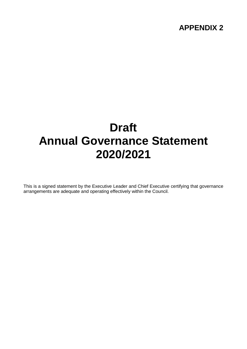### **APPENDIX 2**

# **Draft Annual Governance Statement 2020/2021**

This is a signed statement by the Executive Leader and Chief Executive certifying that governance arrangements are adequate and operating effectively within the Council.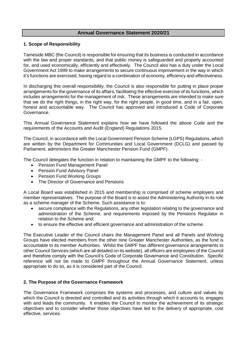#### **Annual Governance Statement 2020/21**

#### **1. Scope of Responsibility**

Tameside MBC (the Council) is responsible for ensuring that its business is conducted in accordance with the law and proper standards, and that public money is safeguarded and properly accounted for, and used economically, efficiently and effectively. The Council also has a duty under the Local Government Act 1999 to make arrangements to secure continuous improvement in the way in which it's functions are exercised, having regard to a combination of economy, efficiency and effectiveness.

In discharging this overall responsibility, the Council is also responsible for putting in place proper arrangements for the governance of its affairs, facilitating the effective exercise of its functions, which includes arrangements for the management of risk. These arrangements are intended to make sure that we do the right things, in the right way, for the right people, in good time, and in a fair, open, honest and accountable way. The Council has approved and introduced a Code of Corporate Governance.

This Annual Governance Statement explains how we have followed the above Code and the requirements of the Accounts and Audit (England) Regulations 2015.

The Council, in accordance with the Local Government Pension Scheme (LGPS) Regulations, which are written by the Department for Communities and Local Government (DCLG) and passed by Parliament, administers the Greater Manchester Pension Fund (GMPF).

The Council delegates the function in relation to maintaining the GMPF to the following: -

- Pension Fund Management Panel
- Pension Fund Advisory Panel
- Pension Fund Working Groups
- The Director of Governance and Pensions

A Local Board was established in 2015 and membership is comprised of scheme employers and member representatives. The purpose of the Board is to assist the Administering Authority in its role as a scheme manager of the Scheme. Such assistance is to:

- secure compliance with the Regulations, any other legislation relating to the governance and administration of the Scheme, and requirements imposed by the Pensions Regulator in relation to the Scheme and;
- to ensure the effective and efficient governance and administration of the scheme.

The Executive Leader of the Council chairs the Management Panel and all Panels and Working Groups have elected members from the other nine Greater Manchester Authorities, as the fund is accountable to its member Authorities. Whilst the GMPF has different governance arrangements to other Council Services (which are all detailed on its website), all officers are employees of the Council and therefore comply with the Council's Code of Corporate Governance and Constitution. Specific reference will not be made to GMPF throughout the Annual Governance Statement, unless appropriate to do so, as it is considered part of the Council.

#### **2. The Purpose of the Governance Framework**

The Governance Framework comprises the systems and processes, and culture and values by which the Council is directed and controlled and its activities through which it accounts to, engages with and leads the community. It enables the Council to monitor the achievement of its strategic objectives and to consider whether those objectives have led to the delivery of appropriate, cost effective, services.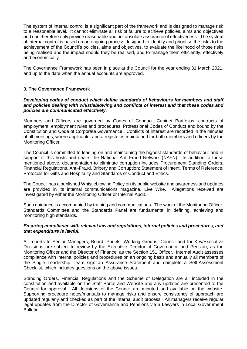The system of internal control is a significant part of the framework and is designed to manage risk to a reasonable level. It cannot eliminate all risk of failure to achieve policies, aims and objectives and can therefore only provide reasonable and not absolute assurance of effectiveness. The system of internal control is based on an ongoing process designed to identify and prioritise the risks to the achievement of the Council's policies, aims and objectives, to evaluate the likelihood of those risks being realised and the impact should they be realised, and to manage them efficiently, effectively and economically.

The Governance Framework has been in place at the Council for the year ending 31 March 2021, and up to the date when the annual accounts are approved.

#### **3. The Governance Framework**

#### *Developing codes of conduct which define standards of behaviours for members and staff and policies dealing with whistleblowing and conflicts of interest and that these codes and policies are communicated effectively.*

Members and Officers are governed by Codes of Conduct, Cabinet Portfolios, contracts of employment, employment rules and procedures, Professional Codes of Conduct and bound by the Constitution and Code of Corporate Governance. Conflicts of interest are recorded in the minutes of all meetings, where applicable, and a register is maintained for both members and officers by the Monitoring Officer.

The Council is committed to leading on and maintaining the highest standards of behaviour and in support of this hosts and chairs the National Anti-Fraud Network (NAFN). In addition to those mentioned above, documentation to eliminate corruption includes Procurement Standing Orders, Financial Regulations, Anti-Fraud, Bribery and Corruption: Statement of Intent, Terms of Reference, Protocols for Gifts and Hospitality and Standards of Conduct and Ethics.

The Council has a published Whistleblowing Policy on its public website and awareness and updates are provided in its internal communications magazine, Live Wire. Allegations received are investigated by either the Monitoring Officer or Internal Audit.

Such guidance is accompanied by training and communications. The work of the Monitoring Officer, Standards Committee and the Standards Panel are fundamental in defining, achieving and monitoring high standards.

#### *Ensuring compliance with relevant law and regulations, internal policies and procedures, and that expenditure is lawful.*

All reports to Senior Managers, Board, Panels, Working Groups, Council and for Key/Executive Decisions are subject to review by the Executive Director of Governance and Pension, as the Monitoring Officer and the Director of Finance, as the Section 151 Officer. Internal Audit assesses compliance with internal policies and procedures on an ongoing basis and annually all members of the Single Leadership Team sign an Assurance Statement and complete a Self-Assessment Checklist, which includes questions on the above issues.

Standing Orders, Financial Regulations and the Scheme of Delegation are all included in the constitution and available on the Staff Portal and Website and any updates are presented to the Council for approval. All decisions of the Council are minuted and available on the website. Supporting procedure notes/manuals to manage risks and ensure consistency of approach are updated regularly and checked as part of the internal audit process. All managers receive regular legal updates from the Director of Governance and Pensions via a Lawyers in Local Government Bulletin.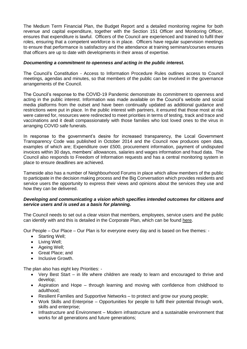The Medium Term Financial Plan, the Budget Report and a detailed monitoring regime for both revenue and capital expenditure, together with the Section 151 Officer and Monitoring Officer, ensures that expenditure is lawful. Officers of the Council are experienced and trained to fulfil their roles, ensuring that a competent workforce is in place. Officers have regular supervision meetings to ensure that performance is satisfactory and the attendance at training seminars/courses ensures that officers are up to date with developments in their areas of expertise.

### *Documenting a commitment to openness and acting in the public interest.*

The Council's Constitution - Access to Information Procedure Rules outlines access to Council meetings, agendas and minutes, so that members of the public can be involved in the governance arrangements of the Council.

The Council's response to the COVID-19 Pandemic demonstrate its commitment to openness and acting in the public interest. Information was made available on the Council's website and social media platforms from the outset and have been continually updated as additional guidance and restrictions were put in place. In the public interest with partners, it ensured that those most at risk were catered for, resources were redirected to meet priorities in terms of testing, track and trace and vaccinations and it dealt compassionately with those families who lost loved ones to the virus in arranging COVID safe funerals.

In response to the government's desire for increased transparency, the Local Government Transparency Code was published in October 2014 and the Council now produces open data, examples of which are; Expenditure over £500, procurement information, payment of undisputed invoices within 30 days, members' allowances, salaries and wages information and fraud data. The Council also responds to Freedom of Information requests and has a central monitoring system in place to ensure deadlines are achieved.

Tameside also has a number of Neighbourhood Forums in place which allow members of the public to participate in the decision making process and the Big Conversation which provides residents and service users the opportunity to express their views and opinions about the services they use and how they can be delivered.

#### *Developing and communicating a vision which specifies intended outcomes for citizens and service users and is used as a basis for planning.*

The Council needs to set out a clear vision that members, employees, service users and the public can identify with and this is detailed in the Corporate Plan, which can be found [here.](https://www.tameside.gov.uk/TamesideMBC/media/policy/Our-People-Our-Place-Our-Plan.pdf)

Our People – Our Place – Our Plan is for everyone every day and is based on five themes: -

- Starting Well;
- Living Well;
- Ageing Well;
- Great Place; and
- Inclusive Growth.

The plan also has eight key Priorities: -

- Very Best Start in life where children are ready to learn and encouraged to thrive and develop;
- Aspiration and Hope through learning and moving with confidence from childhood to adulthood;
- Resilient Families and Supportive Networks to protect and grow our young people;
- Work Skills and Enterprise Opportunities for people to fulfil their potential through work, skills and enterprise;
- Infrastructure and Environment Modern infrastructure and a sustainable environment that works for all generations and future generations: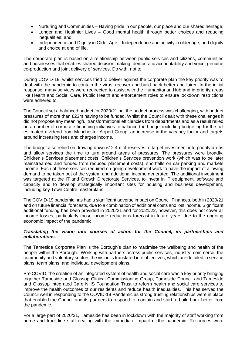- Nurturing and Communities Having pride in our people, our place and our shared heritage;
- Longer and Healthier Lives Good mental health through better choices and reducing inequalities; and
- Independence and Dignity in Older Age Independence and activity in older age, and dignity and choice at end of life.

The corporate plan is based on a relationship between public services and citizens, communities and businesses that enables shared decision making, democratic accountability and voice, genuine co-production and joint delivery of services. Do with, not to.

During COVID-19, whilst services tried to deliver against the corporate plan the key priority was to deal with the pandemic to contain the virus, recover and build back better and fairer. In the initial response, many services were redirected to assist with the Humanitarian Hub and in priority areas like Health and Social Care, Public Health and enforcement roles to ensure lockdown restrictions were adhered to.

The Council set a balanced budget for 2020/21 but the budget process was challenging, with budget pressures of more than £23m having to be funded. Whilst the Council dealt with these challenges it did not propose any meaningful transformational efficiencies from departments and as a result relied on a number of corporate financing initiatives to balance the budget including budgeting for the full estimated dividend from Manchester Airport Group, an increase in the vacancy factor and targets around increasing fees and charges income.

The budget also relied on drawing down £12.4m of reserves to target investment into priority areas and allow services the time to turn around areas of pressures. The pressures were broadly, Children's Services placement costs, Children's Services prevention work (which was to be later mainstreamed and funded from reduced placement costs), shortfalls on car parking and markets income. Each of these services required on-going development work to have the impact of allowing demand to be taken out of the system and additional income generated. The additional investment was targeted at the IT and Growth Directorate Services, to invest in IT equipment, software and capacity and to develop strategically important sites for housing and business development, including key Town Centre masterplans.

The COVID-19 pandemic has had a significant adverse impact on Council Finances, both in 2020/21 and on future financial forecasts, due to a combination of additional costs and lost income. Significant additional funding has been provided in 2020/21 and for 2021/22, however, this does not cover all income losses, particularly those income reductions forecast in future years due to the ongoing economic impact of the pandemic.

#### *Translating the vision into courses of action for the Council, its partnerships and collaborations.*

The Tameside Corporate Plan is the Borough's plan to maximise the wellbeing and health of the people within the Borough. Working with partners across public services, industry, commerce, the community and voluntary sectors the vision is translated into objectives, which are detailed in service plans, team plans, and individual development plans.

Pre COVID, the creation of an integrated system of health and social care was a key priority bringing together Tameside and Glossop Clinical Commissioning Group, Tameside Council and Tameside and Glossop Integrated Care NHS Foundation Trust to reform health and social care services to improve the health outcomes of our residents and reduce health inequalities. This has served the Council well in responding to the COVID-19 Pandemic as strong trusting relationships were in place that enabled the Council and its partners to respond to, contain and start to build back better from the pandemic.

For a large part of 2020/21, Tameside has been in lockdown with the majority of staff working from home and front line staff dealing with the immediate impact of the pandemic. Resources were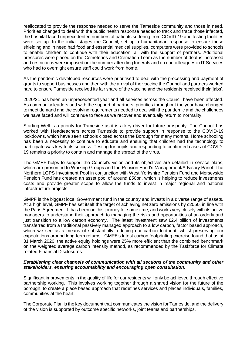reallocated to provide the response needed to serve the Tameside community and those in need. Priorities changed to deal with the public health response needed to track and trace those infected, the hospital faced unprecedented numbers of patients suffering from COVID-19 and testing facilities were set up. In the initial stages the Council, set up a humanitarian response to ensure those shielding and in need had food and essential medical supplies, computers were provided to schools to enable children to continue with their education, all with the support of partners. Additional pressures were placed on the Cemeteries and Cremation Team as the number of deaths increased and restrictions were imposed on the number attending funerals and on our colleagues in IT Services who had to overnight ensure staff could work from home.

As the pandemic developed resources were prioritised to deal with the processing and payment of grants to support businesses and then with the arrival of the vaccine the Council and partners worked hard to ensure Tameside received its fair share of the vaccine and the residents received their 'jabs'.

2020/21 has been an unprecedented year and all services across the Council have been affected. As community leaders and with the support of partners, priorities throughout the year have changed to meet demand and the evolving requirements needed to deal with the pandemic and the challenges we have faced and will continue to face as we recover and eventually return to normality.

Starting Well is a priority for Tameside as it is a key driver for future prosperity. The Council has worked with Headteachers across Tameside to provide support in response to the COVID-19 lockdowns, which have seen schools closed across the Borough for many months. Home schooling has been a necessity to continue to educate and ensuring that children had the technology to participate was key to its success. Testing for pupils and responding to confirmed cases of COVID-19 remains a priority to contain and manage the spread of the virus.

The GMPF helps to support the Council's vision and its objectives are detailed in service plans, which are presented to Working Groups and the Pension Fund's Management/Advisory Panel. The Northern LGPS Investment Pool in conjunction with West Yorkshire Pension Fund and Merseyside Pension Fund has created an asset pool of around £50bn, which is helping to reduce investments costs and provide greater scope to allow the funds to invest in major regional and national infrastructure projects.

GMPF is the biggest local Government fund in the country and invests in a diverse range of assets. At a high level, GMPF has set itself the target of achieving net zero emissions by c2050, in line with the Paris Agreement. It has been on this journey for some time, and works very closely with its active managers to understand their approach to managing the risks and opportunities of an orderly and just transition to a low carbon economy. The latest investment saw £2.4 billion of investments transferred from a traditional passively managed approach to a low carbon, factor based approach, which we see as a means of substantially reducing our carbon footprint, whilst preserving our expectations around long term returns. GMPF's latest carbon footprinting exercise found that as at 31 March 2020, the active equity holdings were 25% more efficient than the combined benchmark on the weighted average carbon intensity method, as recommended by the Taskforce for Climate related Financial Disclosures.

#### *Establishing clear channels of communication with all sections of the community and other stakeholders, ensuring accountability and encouraging open consultation.*

Significant improvements in the quality of life for our residents will only be achieved through effective partnership working. This involves working together through a shared vision for the future of the borough, to create a place based approach that redefines services and places individuals, families, communities at the heart.

The Corporate Plan is the key document that communicates the vision for Tameside, and the delivery of the vision is supported by outcome specific networks, joint teams and partnerships.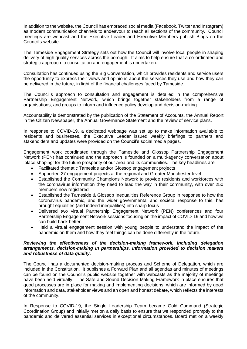In addition to the website, the Council has embraced social media (Facebook, Twitter and Instagram) as modern communication channels to endeavour to reach all sections of the community. Council meetings are webcast and the Executive Leader and Executive Members publish Blogs on the Council's website.

The Tameside Engagement Strategy sets out how the Council will involve local people in shaping delivery of high quality services across the borough. It aims to help ensure that a co-ordinated and strategic approach to consultation and engagement is undertaken.

Consultation has continued using the Big Conversation, which provides residents and service users the opportunity to express their views and opinions about the services they use and how they can be delivered in the future, in light of the financial challenges faced by Tameside.

The Council's approach to consultation and engagement is detailed in the comprehensive Partnership Engagement Network, which brings together stakeholders from a range of organisations, and groups to inform and influence policy develop and decision-making.

Accountability is demonstrated by the publication of the Statement of Accounts, the Annual Report in the Citizen Newspaper, the Annual Governance Statement and the review of service plans.

In response to COVID-19, a dedicated webpage was set up to make information available to residents and businesses, the Executive Leader issued weekly briefings to partners and stakeholders and updates were provided on the Council's social media pages.

Engagement work coordinated through the Tameside and Glossop Partnership Engagement Network (PEN) has continued and the approach is founded on a multi-agency conversation about 'place shaping' for the future prosperity of our area and its communities. The key headlines are:-

- Facilitated thematic Tameside and/or Glossop engagement projects
- Supported 27 engagement projects at the regional and Greater Manchester level
- Established the Community Champions Network to provide residents and workforces with the coronavirus information they need to lead the way in their community, with over 250 members now registered
- Established the Tameside & Glossop Inequalities Reference Group in response to how the coronavirus pandemic, and the wider governmental and societal response to this, has brought equalities (and indeed inequalities) into sharp focus
- Delivered two virtual Partnership Engagement Network (PEN) conferences and four Partnership Engagement Network sessions focusing on the impact of COVID-19 and how we can build back better.
- Held a virtual engagement session with young people to understand the impact of the pandemic on them and how they feel things can be done differently in the future.

#### *Reviewing the effectiveness of the decision-making framework, including delegation arrangements, decision-making in partnerships, information provided to decision makers and robustness of data quality.*

The Council has a documented decision-making process and Scheme of Delegation, which are included in the Constitution. It publishes a Forward Plan and all agendas and minutes of meetings can be found on the Council's public website together with webcasts as the majority of meetings have been held virtually. The Safe and Sound Decision Making Framework in place ensures that good processes are in place for making and implementing decisions, which are informed by good information and data, stakeholder views and an open and honest debate, which reflects the interests of the community.

In Response to COVID-19, the Single Leadership Team became Gold Command (Strategic Coordination Group) and initially met on a daily basis to ensure that we responded promptly to the pandemic and delivered essential services in exceptional circumstances. Board met on a weekly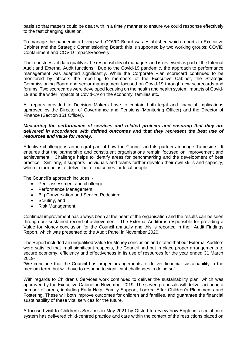basis so that matters could be dealt with in a timely manner to ensure we could response effectively to the fast changing situation.

To manage the pandemic a Living with COVID Board was established which reports to Executive Cabinet and the Strategic Commissioning Board; this is supported by two working groups; COVID Containment and COVID Impact/Recovery.

The robustness of data quality is the responsibility of managers and is reviewed as part of the Internal Audit and External Audit functions. Due to the Covid-19 pandemic, the approach to performance management was adapted significantly. While the Corporate Plan scorecard continued to be monitored by officers the reporting to members of the Executive Cabinet, the Strategic Commissioning Board and senior management focused on Covid-19 through new scorecards and forums. Two scorecards were developed focusing on the health and health system impacts of Covid-19 and the wider impacts of Covid-19 on the economy, families etc.

All reports provided to Decision Makers have to contain both legal and financial implications approved by the Director of Governance and Pensions (Monitoring Officer) and the Director of Finance (Section 151 Officer).

#### *Measuring the performance of services and related projects and ensuring that they are delivered in accordance with defined outcomes and that they represent the best use of resources and value for money.*

Effective challenge is an integral part of how the Council and its partners manage Tameside. It ensures that the partnership and constituent organisations remain focused on improvement and achievement. Challenge helps to identify areas for benchmarking and the development of best practice. Similarly, it supports individuals and teams further develop their own skills and capacity, which in turn helps to deliver better outcomes for local people.

The Council's approach includes: -

- Peer assessment and challenge;
- Performance Management:
- Big Conversation and Service Redesign;
- Scrutiny, and
- Risk Management.

Continual improvement has always been at the heart of the organisation and the results can be seen through our sustained record of achievement. The External Auditor is responsible for providing a Value for Money conclusion for the Council annually and this is reported in their Audit Findings Report, which was presented to the Audit Panel in November 2020.

The Report included an unqualified Value for Money conclusion and stated that our External Auditors were satisfied that in all significant respects, the Council had put in place proper arrangements to secure economy, efficiency and effectiveness in its use of resources for the year ended 31 March 2019-

"We conclude that the Council has proper arrangements to deliver financial sustainability in the medium term, but will have to respond to significant challenges in doing so".

With regards to Children's Services work continued to deliver the sustainability plan, which was approved by the Executive Cabinet in November 2019. The seven proposals will deliver action in a number of areas, including Early Help, Family Support, Looked After Children's Placements and Fostering. These will both improve outcomes for children and families, and guarantee the financial sustainability of these vital services for the future.

A focused visit to Children's Services in May 2021 by Ofsted to review how England's social care system has delivered child-centred practice and care within the context of the restrictions placed on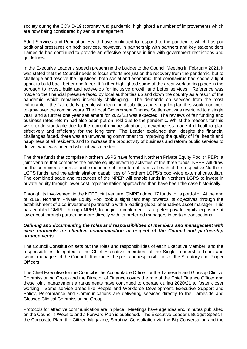society during the COVID-19 (coronavirus) pandemic, highlighted a number of improvements which are now being considered by senior management.

Adult Services and Population Health have continued to respond to the pandemic, which has put additional pressures on both services, however, in partnership with partners and key stakeholders Tameside has continued to provide an effective response in line with government restrictions and guidelines.

In the Executive Leader's speech presenting the budget to the Council Meeting in February 2021, it was stated that the Council needs to focus efforts not just on the recovery from the pandemic, but to challenge and resolve the injustices, both social and economic, that coronavirus had shone a light upon, to build back better and fairer. It further highlighted some of the great work taking place in the borough to invest, build and redevelop for inclusive growth and better services. Reference was made to the financial pressure faced by local authorities up and down the country as a result of the pandemic, which remained incredibly challenging. The demands on services from the most vulnerable – the frail elderly, people with learning disabilities and struggling families would continue to grow over the coming years. The Local Government Finance Settlement was restricted to a single year, and a further one year settlement for 2022/23 was expected. The reviews of fair funding and business rates reform had also been put on hold due to the pandemic. Whilst the reasons for this were understandable due to the current unique situation, it nevertheless made it difficult to plan effectively and efficiently for the long term. The Leader explained that, despite the financial challenges faced, there was an unwavering commitment to improving the quality of life, health and happiness of all residents and to increase the productivity of business and reform public services to deliver what was needed when it was needed.

The three funds that comprise Northern LGPS have formed Northern Private Equity Pool (NPEP), a joint venture that combines the private equity investing activities of the three funds. NPEP will draw on the combined expertise and experience of the internal teams at each of the respective Northern LGPS funds, and the administration capabilities of Northern LGPS's pool-wide external custodian. The combined scale and resources of the NPEP will enable funds in Northern LGPS to invest in private equity through lower cost implementation approaches than have been the case historically.

Through its involvement in the NPEP joint venture, GMPF added 17 funds to its portfolio. At the end of 2019, Northern Private Equity Pool took a significant step towards its objectives through the establishment of a co-investment partnership with a leading global alternatives asset manager. This has enabled GMPF, through NPEP, to begin to implement its targeted private equity exposure at lower cost through partnering more directly with its preferred managers in certain transactions.

#### *Defining and documenting the roles and responsibilities of members and management with clear protocols for effective communication in respect of the Council and partnership arrangements.*

The Council Constitution sets out the roles and responsibilities of each Executive Member, and the responsibilities delegated to the Chief Executive, members of the Single Leadership Team and senior managers of the Council. It includes the post and responsibilities of the Statutory and Proper Officers.

The Chief Executive for the Council is the Accountable Officer for the Tameside and Glossop Clinical Commissioning Group and the Director of Finance covers the role of the Chief Finance Officer and these joint management arrangements have continued to operate during 2020/21 to foster closer working. Some service areas like People and Workforce Development, Executive Support and Policy, Performance and Communications are delivering services directly to the Tameside and Glossop Clinical Commissioning Group.

Protocols for effective communication are in place. Meetings have agendas and minutes published on the Council's Website and a Forward Plan is published. The Executive Leader's Budget Speech, the Corporate Plan, the Citizen Magazine, Scrutiny, Consultation via the Big Conversation and the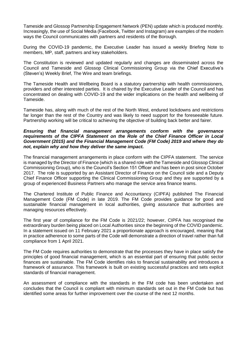Tameside and Glossop Partnership Engagement Network (PEN) update which is produced monthly. Increasingly, the use of Social Media (Facebook, Twitter and Instagram) are examples of the modern ways the Council communicates with partners and residents of the Borough.

During the COVID-19 pandemic, the Executive Leader has issued a weekly Briefing Note to members, MP, staff, partners and key stakeholders.

The Constitution is reviewed and updated regularly and changes are disseminated across the Council and Tameside and Glossop Clinical Commissioning Group via the Chief Executive's (Steven's) Weekly Brief, The Wire and team briefings.

The Tameside Health and Wellbeing Board is a statutory partnership with health commissioners, providers and other interested parties. It is chaired by the Executive Leader of the Council and has concentrated on dealing with COVID-19 and the wider implications on the health and wellbeing of Tameside.

Tameside has, along with much of the rest of the North West, endured lockdowns and restrictions far longer than the rest of the Country and was likely to need support for the foreseeable future. Partnership working will be critical to achieving the objective of building back better and fairer.

#### *Ensuring that financial management arrangements conform with the governance requirements of the CIPFA Statement on the Role of the Chief Finance Officer in Local Government (2015) and the Financial Management Code (FM Code) 2019 and where they do not, explain why and how they deliver the same impact.*

The financial management arrangements in place conform with the CIPFA statement. The service is managed by the Director of Finance (which is a shared role with the Tameside and Glossop Clinical Commissioning Group), who is the Council's Section 151 Officer and has been in post since October 2017. The role is supported by an Assistant Director of Finance on the Council side and a Deputy Chief Finance Officer supporting the Clinical Commissioning Group and they are supported by a group of experienced Business Partners who manage the service area finance teams.

The Chartered Institute of Public Finance and Accountancy (CIPFA) published The Financial Management Code (FM Code) in late 2019. The FM Code provides guidance for good and sustainable financial management in local authorities, giving assurance that authorities are managing resources effectively.

The first year of compliance for the FM Code is 2021/22; however, CIPFA has recognised the extraordinary burden being placed on Local Authorities since the beginning of the COVID pandemic. In a statement issued on 11 February 2021 a proportionate approach is encouraged, meaning that in practice adherence to some parts of the Code will demonstrate a direction of travel rather than full compliance from 1 April 2021.

The FM Code requires authorities to demonstrate that the processes they have in place satisfy the principles of good financial management, which is an essential part of ensuring that public sector finances are sustainable. The FM Code identifies risks to financial sustainability and introduces a framework of assurance. This framework is built on existing successful practices and sets explicit standards of financial management.

An assessment of compliance with the standards in the FM code has been undertaken and concludes that the Council is compliant with minimum standards set out in the FM Code but has identified some areas for further improvement over the course of the next 12 months.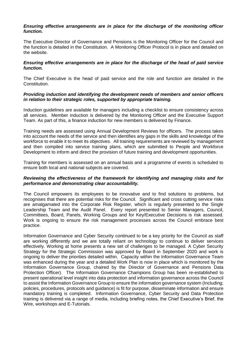#### *Ensuring effective arrangements are in place for the discharge of the monitoring officer function.*

The Executive Director of Governance and Pensions is the Monitoring Officer for the Council and the function is detailed in the Constitution. A Monitoring Officer Protocol is in place and detailed on the website.

#### *Ensuring effective arrangements are in place for the discharge of the head of paid service function.*

The Chief Executive is the head of paid service and the role and function are detailed in the Constitution.

#### *Providing induction and identifying the development needs of members and senior officers in relation to their strategic roles, supported by appropriate training.*

Induction guidelines are available for managers including a checklist to ensure consistency across all services. Member induction is delivered by the Monitoring Officer and the Executive Support Team. As part of this, a finance induction for new members is delivered by Finance.

Training needs are assessed using Annual Development Reviews for officers. The process takes into account the needs of the service and then identifies any gaps in the skills and knowledge of the workforce to enable it to meet its objectives. All training requirements are reviewed by management and then compiled into service training plans, which are submitted to People and Workforce Development to inform and direct the provision of future training and development opportunities.

Training for members is assessed on an annual basis and a programme of events is scheduled to ensure both local and national subjects are covered.

#### *Reviewing the effectiveness of the framework for identifying and managing risks and for performance and demonstrating clear accountability.*

The Council empowers its employees to be innovative and to find solutions to problems, but recognises that there are potential risks for the Council. Significant and cross cutting service risks are amalgamated into the Corporate Risk Register, which is regularly presented to the Single Leadership Team and the Audit Panel. Every report presented to Senior Managers, Council, Committees, Board, Panels, Working Groups and for Key/Executive Decisions is risk assessed. Work is ongoing to ensure the risk management processes across the Council embrace best practice.

Information Governance and Cyber Security continued to be a key priority for the Council as staff are working differently and we are totally reliant on technology to continue to deliver services effectively. Working at home presents a new set of challenges to be managed. A Cyber Security Strategy for the Strategic Commission was approved by Board in September 2020 and work is ongoing to deliver the priorities detailed within. Capacity within the Information Governance Team was enhanced during the year and a detailed Work Plan is now in place which is monitored by the Information Governance Group, chaired by the Director of Governance and Pensions Data Protection Officer). The Information Governance Champions Group has been re-established to present operational level insight into data protection and information governance across the Council to assist the Information Governance Group to ensure the information governance system (Including; policies, procedures, protocols and guidance) is fit for purpose, disseminate information and ensure mandatory training is completed. Information Governance, Cyber Security and Data Protection training is delivered via a range of media, including briefing notes, the Chief Executive's Brief, the Wire, workshops and E-Tutorials.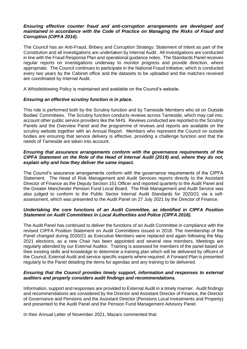#### *Ensuring effective counter fraud and anti-corruption arrangements are developed and maintained in accordance with the Code of Practice on Managing the Risks of Fraud and Corruption (CIPFA 2014).*

The Council has an Anti-Fraud, Bribery and Corruption Strategy: Statement of Intent as part of the Constitution and all investigations are undertaken by Internal Audit. All investigations are conducted in line with the Fraud Response Plan and operational guidance notes. The Standards Panel receives regular reports on investigations underway to monitor progress and provide direction, where appropriate. The Council continues to participate in the National Fraud Initiative, which is conducted every two years by the Cabinet office and the datasets to be uploaded and the matches received are coordinated by Internal Audit.

A Whistleblowing Policy is maintained and available on the Council's website.

#### *Ensuring an effective scrutiny function is in place.*

This role is performed both by the Scrutiny function and by Tameside Members who sit on Outside Bodies' Committees. The Scrutiny function conducts reviews across Tameside, which may call into, account other public service providers like the NHS. Reviews conducted are reported to the Scrutiny Panels and the Overview Panel and the programme of reviews and reports are available on the scrutiny website together with an Annual Report. Members who represent the Council on outside bodies are ensuring that service delivery is effective, providing a challenge function and that the needs of Tameside are taken into account.

#### *Ensuring that assurance arrangements conform with the governance requirements of the CIPFA Statement on the Role of the Head of Internal Audit (2019) and, where they do not, explain why and how they deliver the same impact.*

The Council's assurance arrangements conform with the governance requirements of the CIPFA Statement. The Head of Risk Management and Audit Services reports directly to the Assistant Director of Finance as the Deputy Section 151 Officer and reported quarterly to the Audit Panel and the Greater Manchester Pension Fund Local Board. The Risk Management and Audit Service was also judged to conform to the Public Sector Internal Audit Standards for 2020/21 via a selfassessment, which was presented to the Audit Panel on 27 July 2021 by the Director of Finance.

#### *Undertaking the core functions of an Audit Committee, as identified in CIPFA Position Statement on Audit Committees in Local Authorities and Police (CIPFA 2018).*

The Audit Panel has continued to deliver the functions of an Audit Committee in compliance with the revised CIPFA Position Statement on Audit Committees issued in 2018. The membership of the Panel changed during 2020/21 as Executive Members were replaced and again following the May 2021 elections, as a new Chair has been appointed and several new members. Meetings are regularly attended by our External Auditor. Training is assessed for members of the panel based on their existing skills and knowledge to determine a training plan which will be delivered by officers of the Council, External Audit and service specific experts where required. A Forward Plan is presented regularly to the Panel detailing the items for agendas and any training to be delivered.

#### *Ensuring that the Council provides timely support, information and responses to external auditors and properly considers audit findings and recommendations.*

Information, support and responses are provided to External Audit in a timely manner. Audit findings and recommendations are considered by the Director and Assistant Director of Finance, the Director of Governance and Pensions and the Assistant Director (Pensions Local Investments and Property) and presented to the Audit Panel and the Pension Fund Management Advisory Panel.

In their Annual Letter of November 2021, Mazars commented that: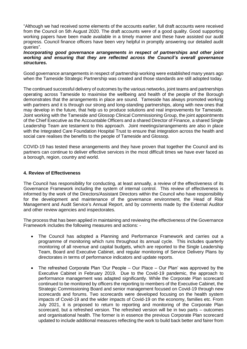"Although we had received some elements of the accounts earlier, full draft accounts were received from the Council on 5th August 2020. The draft accounts were of a good quality. Good supporting working papers have been made available in a timely manner and these have assisted our audit progress. Council finance officers have been very helpful in promptly answering our detailed audit queries".

#### *Incorporating good governance arrangements in respect of partnerships and other joint working and ensuring that they are reflected across the Council's overall governance structures.*

Good governance arrangements in respect of partnership working were established many years ago when the Tameside Strategic Partnership was created and those standards are still adopted today.

The continued successful delivery of outcomes by the various networks, joint teams and partnerships operating across Tameside to maximise the wellbeing and health of the people of the Borough demonstrates that the arrangements in place are sound. Tameside has always promoted working with partners and it is through our strong and long-standing partnerships, along with new ones that may develop in the future, that help us to produce solutions and real improvements for Tameside. Joint working with the Tameside and Glossop Clinical Commissioning Group, the joint appointments of the Chief Executive as the Accountable Officers and a shared Director of Finance, a shared Single Leadership Team are testament to this approach. Joint meetings/arrangements are also in place with the Integrated Care Foundation Hospital Trust to ensure that integration across the health and social care realises the benefits to the people of Tameside and Glossop.

COVID-19 has tested these arrangements and they have proven that together the Council and its partners can continue to deliver effective services in the most difficult times we have ever faced as a borough, region, country and world.

#### **4. Review of Effectiveness**

The Council has responsibility for conducting, at least annually, a review of the effectiveness of its Governance Framework including the system of internal control. This review of effectiveness is informed by the work of the Directors/Assistant Directors within the Council who have responsibility for the development and maintenance of the governance environment, the Head of Risk Management and Audit Service's Annual Report, and by comments made by the External Auditor and other review agencies and inspectorates.

The process that has been applied in maintaining and reviewing the effectiveness of the Governance Framework includes the following measures and actions: -

- The Council has adopted a Planning and Performance Framework and carries out a programme of monitoring which runs throughout its annual cycle. This includes quarterly monitoring of all revenue and capital budgets, which are reported to the Single Leadership Team, Board and Executive Cabinet, and regular monitoring of Service Delivery Plans by directorates in terms of performance indicators and update reports.
- The refreshed Corporate Plan 'Our People Our Place Our Plan' was approved by the Executive Cabinet in February 2019. Due to the Covid-19 pandemic, the approach to performance management was adapted significantly. While the Corporate Plan scorecard continued to be monitored by officers the reporting to members of the Executive Cabinet, the Strategic Commissioning Board and senior management focused on Covid-19 through new scorecards and forums. Two scorecards were developed focusing on the health system impacts of Covid-19 and the wider impacts of Covid-19 on the economy, families etc. From July 2021, it is proposed to return to reporting and monitoring of the Corporate Plan scorecard, but a refreshed version. The refreshed version will be in two parts – outcomes and organisational health. The former is in essence the previous Corporate Plan scorecard updated to include additional measures reflecting the work to build back better and fairer from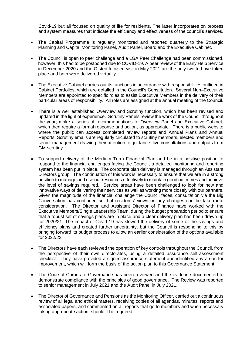Covid-19 but all focused on quality of life for residents. The latter incorporates on process and system measures that indicate the efficiency and effectiveness of the council's services.

- The Capital Programme is regularly monitored and reported quarterly to the Strategic Planning and Capital Monitoring Panel, Audit Panel, Board and the Executive Cabinet.
- The Council is open to peer challenge and a LGA Peer Challenge had been commissioned, however, this had to be postponed due to COVID-19. A peer review of the Early Help Service in December 2020 and the Ofsted focused visit in May 2021 are the only two to have taken place and both were delivered virtually.
- The Executive Cabinet carries out its functions in accordance with responsibilities outlined in Cabinet Portfolios, which are detailed in the Council's Constitution. Several Non–Executive Members are appointed to specific roles to assist Executive Members in the delivery of their particular areas of responsibility. All roles are assigned at the annual meeting of the Council.
- There is a well established Overview and Scrutiny function, which has been revised and updated in the light of experience. Scrutiny Panels review the work of the Council throughout the year; make a series of recommendations to Overview Panel and Executive Cabinet, which then require a formal response and action, as appropriate. There is a public website where the public can access completed review reports and Annual Plans and Annual Reports. Scrutiny emails are regularly circulated to scrutiny members, elected members and senior management drawing their attention to guidance, live consultations and outputs from GM scrutiny.
- To support delivery of the Medium Term Financial Plan and be in a positive position to respond to the financial challenges facing the Council, a detailed monitoring and reporting system has been put in place. The corporate plan delivery is managed through an Assistant Directors group. The continuation of this work is necessary to ensure that we are in a strong position to manage and use our resources effectively to maintain good outcomes and achieve the level of savings required. Service areas have been challenged to look for new and innovative ways of delivering their services as well as working more closely with our partners. Given the magnitude of the financial challenge the Council faces, consultation via the Big Conversation has continued so that residents' views on any changes can be taken into consideration. The Director and Assistant Director of Finance have worked with the Executive Members/Single Leadership Team, during the budget preparation period to ensure that a robust set of savings plans are in place and a clear delivery plan has been drawn up for 2020/21. The impact of Covid 19 has slowed the delivery of some of the savings and efficiency plans and created further uncertainty, but the Council is responding to this by bringing forward its budget process to allow an earlier consideration of the options available for 2022/23
- The Directors have each reviewed the operation of key controls throughout the Council, from the perspective of their own directorates, using a detailed assurance self-assessment checklist. They have provided a signed assurance statement and identified any areas for improvement, which will form the basis of the action plan to this Governance Statement.
- The Code of Corporate Governance has been reviewed and the evidence documented to demonstrate compliance with the principles of good governance. The Review was reported to senior management in July 2021 and the Audit Panel in July 2021.
- The Director of Governance and Pensions as the Monitoring Officer, carried out a continuous review of all legal and ethical matters, receiving copies of all agendas, minutes, reports and associated papers, and commented on all reports that go to members and when necessary taking appropriate action, should it be required.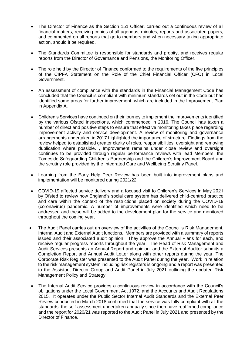- The Director of Finance as the Section 151 Officer, carried out a continuous review of all financial matters, receiving copies of all agendas, minutes, reports and associated papers, and commented on all reports that go to members and when necessary taking appropriate action, should it be required.
- The Standards Committee is responsible for standards and probity, and receives regular reports from the Director of Governance and Pensions, the Monitoring Officer.
- The role held by the Director of Finance conformed to the requirements of the five principles of the CIPFA Statement on the Role of the Chief Financial Officer (CFO) in Local Government.
- An assessment of compliance with the standards in the Financial Management Code has concluded that the Council is compliant with minimum standards set out in the Code but has identified some areas for further improvement, which are included in the Improvement Plan in Appendix A.
- Children's Services have continued on their journey to implement the improvements identified by the various Ofsted Inspections, which commenced in 2016. The Council has taken a number of direct and positive steps to ensure that effective monitoring takes place regarding improvement activity and service development. A review of monitoring and governance arrangements undertaken in 2017 highlighted the importance of structure. Findings from the review helped to established greater clarity of roles, responsibilities, oversight and removing duplication where possible. , Improvement remains under close review and oversight continues to be provided through regular performance reviews with lead Members, the Tameside Safeguarding Children's Partnership and the Children's Improvement Board and the scrutiny role provided by the Integrated Care and Wellbeing Scrutiny Panel.
- Learning from the Early Help Peer Review has been built into improvement plans and implementation will be monitored during 2021/22.
- COVID-19 affected service delivery and a focused visit to Children's Services in May 2021 by Ofsted to review how England's social care system has delivered child-centred practice and care within the context of the restrictions placed on society during the COVID-19 (coronavirus) pandemic. A number of improvements were identified which need to be addressed and these will be added to the development plan for the service and monitored throughout the coming year.
- The Audit Panel carries out an overview of the activities of the Council's Risk Management, Internal Audit and External Audit functions. Members are provided with a summary of reports issued and their associated audit opinion. They approve the Annual Plans for each, and receive regular progress reports throughout the year. The Head of Risk Management and Audit Services presents an Annual Report and opinion, and the External Auditor submits a Completion Report and Annual Audit Letter along with other reports during the year. The Corporate Risk Register was presented to the Audit Panel during the year. Work in relation to the risk management system including risk registers is ongoing and a report was presented to the Assistant Director Group and Audit Panel in July 2021 outlining the updated Risk Management Policy and Strategy.
- The Internal Audit Service provides a continuous review in accordance with the Council's obligations under the Local Government Act 1972, and the Accounts and Audit Regulations 2015. It operates under the Public Sector Internal Audit Standards and the External Peer Review conducted in March 2018 confirmed that the service was fully compliant with all the standards, the self-assessment undertaken annually since then have reaffirmed compliance and the report for 2020/21 was reported to the Audit Panel in July 2021 and presented by the Director of Finance.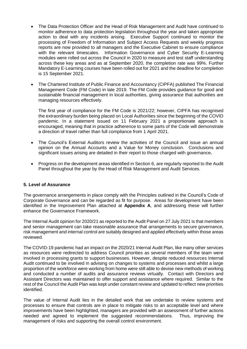- The Data Protection Officer and the Head of Risk Management and Audit have continued to monitor adherence to data protection legislation throughout the year and taken appropriate action to deal with any incidents arising. Executive Support continued to monitor the processing of Freedom of Information and Subject Access Requests and weekly progress reports are now provided to all managers and the Executive Cabinet to ensure compliance with the relevant timescales. Information Governance and Cyber Security E-Learning modules were rolled out across the Council in 2020 to measure and test staff understanding across these key areas and as at September 2020, the completion rate was 99%. Further Mandatory E-Learning courses have been rolled out for 2021 and the deadline for completion is 15 September 2021.
- The Chartered Institute of Public Finance and Accountancy (CIPFA) published The Financial Management Code (FM Code) in late 2019. The FM Code provides guidance for good and sustainable financial management in local authorities, giving assurance that authorities are managing resources effectively.

The first year of compliance for the FM Code is 2021/22; however, CIPFA has recognised the extraordinary burden being placed on Local Authorities since the beginning of the COVID pandemic. In a statement issued on 11 February 2021 a proportionate approach is encouraged, meaning that in practice adherence to some parts of the Code will demonstrate a direction of travel rather than full compliance from 1 April 2021.

- The Council's External Auditors review the activities of the Council and issue an annual opinion on the Annual Accounts and a Value for Money conclusion. Conclusions and significant issues arising are detailed in their report to those charged with governance**.**
- Progress on the development areas identified in Section 6, are regularly reported to the Audit Panel throughout the year by the Head of Risk Management and Audit Services.

#### **5. Level of Assurance**

The governance arrangements in place comply with the Principles outlined in the Council's Code of Corporate Governance and can be regarded as fit for purpose. Areas for development have been identified in the Improvement Plan attached at **Appendix A**, and addressing these will further enhance the Governance Framework.

The Internal Audit opinion for 2020/21 as reported to the Audit Panel on 27 July 2021 is that members and senior management can take reasonable assurance that arrangements to secure governance, risk management and internal control are suitably designed and applied effectively within those areas reviewed.

The COVID-19 pandemic had an impact on the 2020/21 Internal Audit Plan, like many other services as resources were redirected to address Council priorities as several members of the team were involved in processing grants to support businesses. However, despite reduced resources Internal Audit continued to be involved in advising on changes to systems and processes and whilst a large proportion of the workforce were working from home were still able to devise new methods of working and conducted a number of audits and assurance reviews virtually. Contact with Directors and Assistant Directors was maintained to offer support and assistance where required. Similar to the rest of the Council the Audit Plan was kept under constant review and updated to reflect new priorities identified.

The value of Internal Audit lies in the detailed work that we undertake to review systems and processes to ensure that controls are in place to mitigate risks to an acceptable level and where improvements have been highlighted, managers are provided with an assessment of further actions needed and agreed to implement the suggested recommendations. Thus, improving the management of risks and supporting the overall control environment.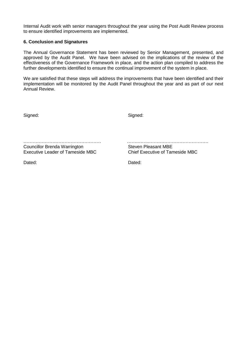Internal Audit work with senior managers throughout the year using the Post Audit Review process to ensure identified improvements are implemented.

#### **6. Conclusion and Signatures**

The Annual Governance Statement has been reviewed by Senior Management, presented, and approved by the Audit Panel. We have been advised on the implications of the review of the effectiveness of the Governance Framework in place, and the action plan compiled to address the further developments identified to ensure the continual improvement of the system in place.

We are satisfied that these steps will address the improvements that have been identified and their implementation will be monitored by the Audit Panel throughout the year and as part of our next Annual Review.

Signed: Signed: Signed: Signed: Signed: Signed: Signed: Signed: Signed: Signed: Signed: Signed: Signed: Signed: Signed: Signed: Signed: Signed: Signed: Signed: Signed: Signed: Signed: Signed: Signed: Signed: Signed: Signed

Councillor Brenda Warrington<br>
Executive Leader of Tameside MBC<br>
Chief Executive of Tameside MBC Executive Leader of Tameside MBC

Dated: **Dated: Dated: Dated: Dated: Dated: Dated: Dated: Dated: Dated: Dated: Dated: Dated: Dated: Dated: Dated: Dated: Dated: Dated: Dated: Dated: Dated: Dated: Dated: Dated:** 

…………………………………………… …….……..…………………………………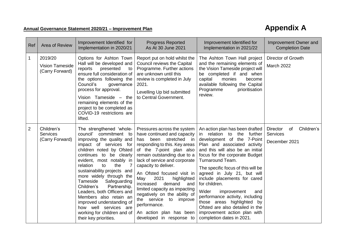## **Annual Governance Statement 2020/21 – Improvement Plan Annual Covernance Statement 2020/21 – Improvement Plan**

| Ref            | Area of Review                                       | Improvement Identified for<br>Implementation in 2020/21                                                                                                                                                                                                                                                                                                                                                                                                                                                                 | <b>Progress Reported</b><br>As At 30 June 2021                                                                                                                                                                                                                                                                                                                                                                                                                                                             | Improvement Identified for<br>Implementation in 2021/22                                                                                                                                                                                                                                                                                                                                                                                                                                                                                        | Improvement Owner and<br><b>Completion Date</b>                         |
|----------------|------------------------------------------------------|-------------------------------------------------------------------------------------------------------------------------------------------------------------------------------------------------------------------------------------------------------------------------------------------------------------------------------------------------------------------------------------------------------------------------------------------------------------------------------------------------------------------------|------------------------------------------------------------------------------------------------------------------------------------------------------------------------------------------------------------------------------------------------------------------------------------------------------------------------------------------------------------------------------------------------------------------------------------------------------------------------------------------------------------|------------------------------------------------------------------------------------------------------------------------------------------------------------------------------------------------------------------------------------------------------------------------------------------------------------------------------------------------------------------------------------------------------------------------------------------------------------------------------------------------------------------------------------------------|-------------------------------------------------------------------------|
| $\mathbf{1}$   | 2019/20<br><b>Vision Tameside</b><br>(Carry Forward) | Options for Ashton Town<br>Hall will be developed and<br>presented<br>reports<br>to<br>ensure full consideration of<br>the options following the<br>Council's<br>governance<br>process for approval.<br>Vision Tameside - the<br>remaining elements of the<br>project to be completed as<br>COVID-19 restrictions are<br>lifted.                                                                                                                                                                                        | Report put on hold whilst the<br>Council reviews the Capital<br>Programme. Further actions<br>are unknown until this<br>review is completed in July<br>2021.<br>Levelling Up bid submitted<br>to Central Government.                                                                                                                                                                                                                                                                                       | The Ashton Town Hall project<br>and the remaining elements of<br>the Vision Tameside project will<br>be completed if and when<br>capital<br>monies<br>become<br>available following the Capital<br>prioritisation<br>Programme<br>review.                                                                                                                                                                                                                                                                                                      | Director of Growth<br>March 2022                                        |
| $\overline{2}$ | Children's<br><b>Services</b><br>(Carry Forward)     | The strengthened 'whole-<br>council'<br>commitment to<br>improving the quality and<br>impact of services for<br>children noted by Ofsted<br>continues to be clearly<br>evident, most notably in<br>the<br>7<br>relation<br>to<br>sustainability projects and<br>more widely through the<br>Safeguarding<br>Tameside<br>Partnership.<br>Children's<br>Leaders, both Officers and<br>Members also retain an<br>improved understanding of<br>how well services are<br>working for children and of<br>their key priorities. | Pressures across the system<br>have continued and capacity<br>has been stretched in<br>responding to this. Key areas<br>of the 7-point plan also<br>remain outstanding due to a<br>lack of service and corporate<br>capacity to deliver.<br>An Ofsted focused visit in<br>2021<br>May<br>highlighted<br>increased<br>demand<br>and<br>limited capacity as impacting<br>negatively on the ability of<br>the service<br>to<br>improve<br>performance.<br>An action plan has been<br>developed in response to | An action plan has been drafted<br>in relation to the further<br>development of the 7-Point<br>Plan and associated activity<br>and this will also be an initial<br>focus for the corporate Budget<br>Turnaround Team.<br>The specific focus of this will be<br>agreed in July 21, but will<br>include placements for cared<br>for children.<br>Wider<br>improvement<br>and<br>performance activity, including<br>those areas highlighted<br>by<br>Ofsted are also detailed in the<br>improvement action plan with<br>completion dates in 2021. | Children's<br><b>Director</b><br>of<br><b>Services</b><br>December 2021 |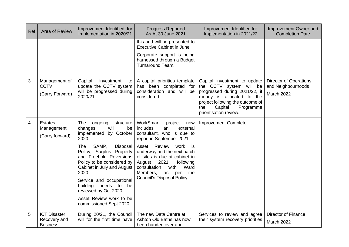| Ref | Area of Review                                         | Improvement Identified for<br>Implementation in 2020/21                                                                                                                                                                                                                                                                                                                                             | <b>Progress Reported</b><br>As At 30 June 2021                                                                                                                                                                                                                                                                                                  | Improvement Identified for<br>Implementation in 2021/22                                                                                                                                                            | Improvement Owner and<br><b>Completion Date</b>                          |
|-----|--------------------------------------------------------|-----------------------------------------------------------------------------------------------------------------------------------------------------------------------------------------------------------------------------------------------------------------------------------------------------------------------------------------------------------------------------------------------------|-------------------------------------------------------------------------------------------------------------------------------------------------------------------------------------------------------------------------------------------------------------------------------------------------------------------------------------------------|--------------------------------------------------------------------------------------------------------------------------------------------------------------------------------------------------------------------|--------------------------------------------------------------------------|
|     |                                                        |                                                                                                                                                                                                                                                                                                                                                                                                     | this and will be presented to<br><b>Executive Cabinet in June</b><br>Corporate support is being<br>harnessed through a Budget<br>Turnaround Team.                                                                                                                                                                                               |                                                                                                                                                                                                                    |                                                                          |
| 3   | Management of<br><b>CCTV</b><br>(Carry Forward)        | Capital<br>investment<br>to<br>update the CCTV system<br>will be progressed during<br>2020/21.                                                                                                                                                                                                                                                                                                      | A capital priorities template<br>has been completed for<br>consideration and will be<br>considered.                                                                                                                                                                                                                                             | Capital investment to update<br>the CCTV system will be<br>progressed during 2021/22, if<br>money is allocated to the<br>project following the outcome of<br>the<br>Capital<br>Programme<br>prioritisation review. | <b>Director of Operations</b><br>and Neighbourhoods<br><b>March 2022</b> |
| 4   | <b>Estates</b><br>Management<br>(Carry forward)        | <b>The</b><br>ongoing<br>structure<br>will<br>changes<br>be<br>implemented by October<br>2020.<br>SAMP,<br><b>The</b><br>Disposal<br>Policy, Surplus Property<br>and Freehold Reversions<br>Policy to be considered by<br>Cabinet in July and August<br>2020.<br>Service and occupational<br>building needs to<br>be<br>reviewed by Oct 2020.<br>Asset Review work to be<br>commissioned Sept 2020. | WorkSmart<br>project<br>now<br>includes<br>external<br>an<br>consultant, who is due to<br>report in September 2021.<br>Review<br>Asset<br>work is<br>underway and the next batch<br>of sites is due at cabinet in<br>2021,<br>following<br>August<br>consultation<br>Ward<br>with<br>Members,<br>the<br>per<br>as<br>Council's Disposal Policy. | Improvement Complete.                                                                                                                                                                                              |                                                                          |
| 5   | <b>ICT Disaster</b><br>Recovery and<br><b>Business</b> | During 20/21, the Council<br>will for the first time have                                                                                                                                                                                                                                                                                                                                           | The new Data Centre at<br>Ashton Old Baths has now<br>been handed over and                                                                                                                                                                                                                                                                      | Services to review and agree<br>their system recovery priorities                                                                                                                                                   | <b>Director of Finance</b><br><b>March 2022</b>                          |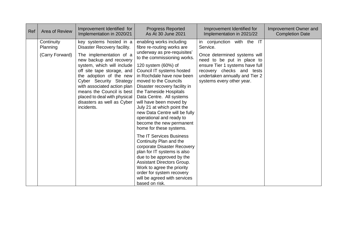| Ref | Area of Review                            | Improvement Identified for<br>Implementation in 2020/21                                                                                                                                                                                                                                                                                                                | <b>Progress Reported</b><br>As At 30 June 2021                                                                                                                                                                                                                                                                                                                                                                                                                                                                                                                                                                                                                                                                                                                                                  | Improvement Identified for<br>Implementation in 2021/22                                                                                                                                                                                | Improvement Owner and<br><b>Completion Date</b> |
|-----|-------------------------------------------|------------------------------------------------------------------------------------------------------------------------------------------------------------------------------------------------------------------------------------------------------------------------------------------------------------------------------------------------------------------------|-------------------------------------------------------------------------------------------------------------------------------------------------------------------------------------------------------------------------------------------------------------------------------------------------------------------------------------------------------------------------------------------------------------------------------------------------------------------------------------------------------------------------------------------------------------------------------------------------------------------------------------------------------------------------------------------------------------------------------------------------------------------------------------------------|----------------------------------------------------------------------------------------------------------------------------------------------------------------------------------------------------------------------------------------|-------------------------------------------------|
|     | Continuity<br>Planning<br>(Carry Forward) | key systems hosted in a<br>Disaster Recovery facility.<br>The implementation of a<br>new backup and recovery<br>system, which will include<br>off site tape storage, and<br>the adoption of the new<br>Cyber Security Strategy<br>with associated action plan<br>means the Council is best<br>placed to deal with physical<br>disasters as well as Cyber<br>incidents. | enabling works including<br>fibre re-routing works are<br>underway as pre-requisites'<br>to the commissioning works.<br>120 system (60%) of<br>Council IT systems hosted<br>in Rochdale have now been<br>moved to the Councils<br>Disaster recovery facility in<br>the Tameside Hospitals<br>Data Centre. All systems<br>will have been moved by<br>July 21 at which point the<br>new Data Centre will be fully<br>operational and ready to<br>become the new permanent<br>home for these systems.<br>The IT Services Business<br>Continuity Plan and the<br>corporate Disaster Recovery<br>plan for IT systems is also<br>due to be approved by the<br>Assistant Directors Group.<br>Work to agree the priority<br>order for system recovery<br>will be agreed with services<br>based on risk. | conjunction with the IT<br>in<br>Service.<br>Once determined systems will<br>need to be put in place to<br>ensure Tier 1 systems have full<br>recovery checks and tests<br>undertaken annually and Tier 2<br>systems every other year. |                                                 |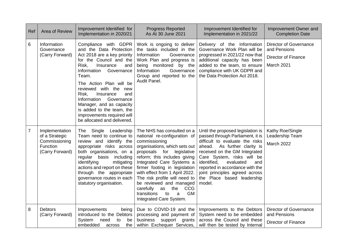| Ref            | Area of Review                                                                   | Improvement Identified for<br>Implementation in 2020/21                                                                                                                                                                                                                                                                                                                                                             | <b>Progress Reported</b><br>As At 30 June 2021                                                                                                                                                                                                                                                                                                                                                                                                                | Improvement Identified for<br>Implementation in 2021/22                                                                                                                                                                                                                                                                                                    | Improvement Owner and<br><b>Completion Date</b>                                    |
|----------------|----------------------------------------------------------------------------------|---------------------------------------------------------------------------------------------------------------------------------------------------------------------------------------------------------------------------------------------------------------------------------------------------------------------------------------------------------------------------------------------------------------------|---------------------------------------------------------------------------------------------------------------------------------------------------------------------------------------------------------------------------------------------------------------------------------------------------------------------------------------------------------------------------------------------------------------------------------------------------------------|------------------------------------------------------------------------------------------------------------------------------------------------------------------------------------------------------------------------------------------------------------------------------------------------------------------------------------------------------------|------------------------------------------------------------------------------------|
| 6              | Information<br>Governance<br>(Carry Forward)                                     | Compliance with GDPR<br>and the Data Protection<br>Act 2018 are a key priority<br>for the Council and the<br>Risk,<br>Insurance<br>and<br>Information<br>Governance<br>Team.<br>The Action Plan will be<br>reviewed with the<br>new<br>Risk,<br>Insurance<br>and<br>Information<br>Governance<br>Manager, and as capacity<br>is added to the team, the<br>improvements required will<br>be allocated and delivered. | Work is ongoing to deliver<br>the tasks included in the<br>Information<br>Governance<br>Work Plan and progress is<br>being monitored by the<br>Information<br>Governance<br>Group and reported to the<br>Audit Panel.                                                                                                                                                                                                                                         | Delivery of the Information<br>Governance Work Plan will be<br>progressed in 2021/22 now that<br>additional capacity has been<br>added to the team, to ensure<br>compliance with UK GDPR and<br>the Data Protection Act 2018.                                                                                                                              | Director of Governance<br>and Pensions<br><b>Director of Finance</b><br>March 2021 |
| $\overline{7}$ | Implementation<br>of a Strategic<br>Commissioning<br>Function<br>(Carry Forward) | Single<br>Leadership<br>The<br>Team need to continue to<br>review and identify the<br>appropriate risks across<br>both organisations, on a<br>regular basis<br>including<br>identifying<br>mitigating<br>actions and report on these<br>through the appropriate<br>governance routes in each<br>statutory organisation.                                                                                             | The NHS has consulted on a<br>national re-configuration of<br>commissioning<br>organisations, which sets out<br>proposals for<br>legislative<br>reform; this includes giving<br>Integrated Care Systems a<br>firmer footing in legislation<br>with effect from 1 April 2022.<br>The risk profile will need to<br>be reviewed and managed<br>carefully<br>as<br>the<br><b>CCG</b><br><b>GM</b><br>transitions<br>to<br>$\mathbf{a}$<br>Integrated Care System. | Until the proposed legislation is<br>passed through Parliament, it is<br>difficult to evaluate the risks<br>As further clarity is<br>ahead.<br>received on the GM Integrated<br>Care System, risks will be<br>identified,<br>evaluated<br>and<br>reported in accordance with the<br>joint principles agreed across<br>the Place based leadership<br>model. | Kathy Roe/Single<br>Leadership Team<br>March 2022                                  |
| 8              | <b>Debtors</b><br>(Carry Forward)                                                | Improvements<br>being<br>introduced to the Debtors<br>System<br>need<br>to<br>be<br>the<br>embedded<br>across                                                                                                                                                                                                                                                                                                       | Due to COVID-19 and the<br>processing and payment of<br>business support grants<br>within Exchequer Services,                                                                                                                                                                                                                                                                                                                                                 | Improvements to the Debtors<br>System need to be embedded<br>across the Council and these<br>will then be tested by Internal                                                                                                                                                                                                                               | Director of Governance<br>and Pensions<br><b>Director of Finance</b>               |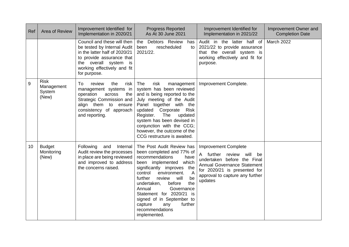| Ref | Area of Review                               | Improvement Identified for<br>Implementation in 2020/21                                                                                                                                               | <b>Progress Reported</b><br>As At 30 June 2021                                                                                                                                                                                                                                                                                                                                                                | Improvement Identified for<br>Implementation in 2021/22                                                                                                                                                       | Improvement Owner and<br><b>Completion Date</b> |
|-----|----------------------------------------------|-------------------------------------------------------------------------------------------------------------------------------------------------------------------------------------------------------|---------------------------------------------------------------------------------------------------------------------------------------------------------------------------------------------------------------------------------------------------------------------------------------------------------------------------------------------------------------------------------------------------------------|---------------------------------------------------------------------------------------------------------------------------------------------------------------------------------------------------------------|-------------------------------------------------|
|     |                                              | Council and these will then<br>be tested by Internal Audit<br>in the latter half of 2020/21<br>to provide assurance that<br>the overall system<br>is i<br>working effectively and fit<br>for purpose. | the Debtors Review<br>has<br>rescheduled<br>to<br>been<br>2021/22.                                                                                                                                                                                                                                                                                                                                            | Audit in the latter half of<br>2021/22 to provide assurance<br>that the overall system is<br>working effectively and fit for<br>purpose.                                                                      | <b>March 2022</b>                               |
| 9   | <b>Risk</b><br>Management<br>System<br>(New) | To.<br>review<br>the<br>risk<br>management systems in<br>operation<br>across<br>the<br>Strategic Commission and<br>align them to ensure<br>consistency of approach<br>and reporting.                  | The<br>risk<br>management<br>system has been reviewed<br>and is being reported to the<br>July meeting of the Audit<br>Panel together with the<br><b>Risk</b><br>updated<br>Corporate<br>Register.<br>The<br>updated<br>system has been devised in<br>conjunction with the CCG;<br>however, the outcome of the<br>CCG restructure is awaited.                                                                  | Improvement Complete.                                                                                                                                                                                         |                                                 |
| 10  | <b>Budget</b><br>Monitoring<br>(New)         | Following<br>and<br>Internal<br>Audit review the processes<br>in place are being reviewed<br>and improved to address<br>the concerns raised.                                                          | The Post Audit Review has<br>been completed and 77% of<br>recommendations<br>have<br>been implemented<br>which<br>significantly improves the<br>control<br>environment.<br>$\overline{A}$<br>further<br>will<br>be<br>review<br>the<br>before<br>undertaken,<br>Governance<br>Annual<br>Statement for 2020/21 is<br>signed of in September to<br>further<br>capture<br>any<br>recommendations<br>implemented. | <b>Improvement Complete</b><br>A further review will<br>be<br>undertaken before the Final<br><b>Annual Governance Statement</b><br>for 2020/21 is presented for<br>approval to capture any further<br>updates |                                                 |